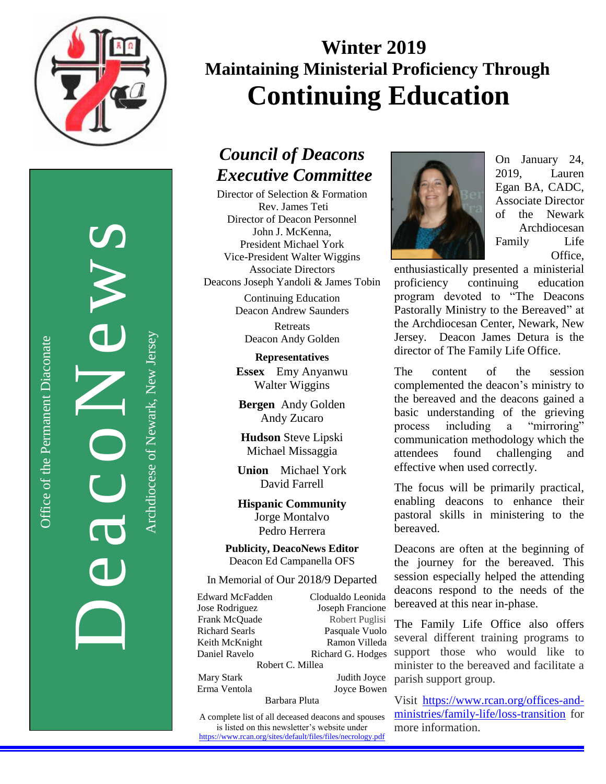

DeacoNews News

Office of the Permanent Diaconate

Office of the Permanent Diaconate

Archdiocese of Newark, New JerseyArchdiocese of Newark, New Jersey

# **Winter 2019 Maintaining Ministerial Proficiency Through Continuing Education**

## *Council of Deacons Executive Committee*

Director of Selection & Formation Rev. James Teti Director of Deacon Personnel John J. McKenna, President Michael York Vice-President Walter Wiggins Associate Directors Deacons Joseph Yandoli & James Tobin

Continuing Education Deacon Andrew Saunders

> Retreats Deacon Andy Golden

**Representatives Essex** Emy Anyanwu Walter Wiggins

**Bergen** Andy Golden Andy Zucaro

**Hudson** Steve Lipski Michael Missaggia

**Union** Michael York David Farrell

**Hispanic Community** Jorge Montalvo Pedro Herrera

**Publicity, DeacoNews Editor** Deacon Ed Campanella OFS

In Memorial of Our 2018/9 Departed

Edward McFadden Clodualdo Leonida Jose Rodriguez Joseph Francione Frank McQuade Robert Puglisi Richard Searls Pasquale Vuolo Keith McKnight Ramon Villeda Daniel Ravelo Richard G. Hodges Robert C. Millea

Barbara Pluta

Mary Stark Judith Joyce Erma Ventola Joyce Bowen

A complete list of all deceased deacons and spouses is listed on this newsletter's website under <https://www.rcan.org/sites/default/files/files/necrology.pdf>



On January 24, 2019, Lauren Egan BA, CADC, Associate Director of the Newark Archdiocesan Family Life Office,

enthusiastically presented a ministerial proficiency continuing education program devoted to "The Deacons Pastorally Ministry to the Bereaved" at the Archdiocesan Center, Newark, New Jersey. Deacon James Detura is the director of The Family Life Office.

The content of the session complemented the deacon's ministry to the bereaved and the deacons gained a basic understanding of the grieving process including a "mirroring" communication methodology which the attendees found challenging and effective when used correctly.

The focus will be primarily practical, enabling deacons to enhance their pastoral skills in ministering to the bereaved.

Deacons are often at the beginning of the journey for the bereaved. This session especially helped the attending deacons respond to the needs of the bereaved at this near in-phase.

The Family Life Office also offers several different training programs to support those who would like to minister to the bereaved and facilitate a parish support group.

Visit [https://www.rcan.org/offices-and](https://www.rcan.org/offices-and-ministries/family-life/loss-transition)[ministries/family-life/loss-transition](https://www.rcan.org/offices-and-ministries/family-life/loss-transition) for more information.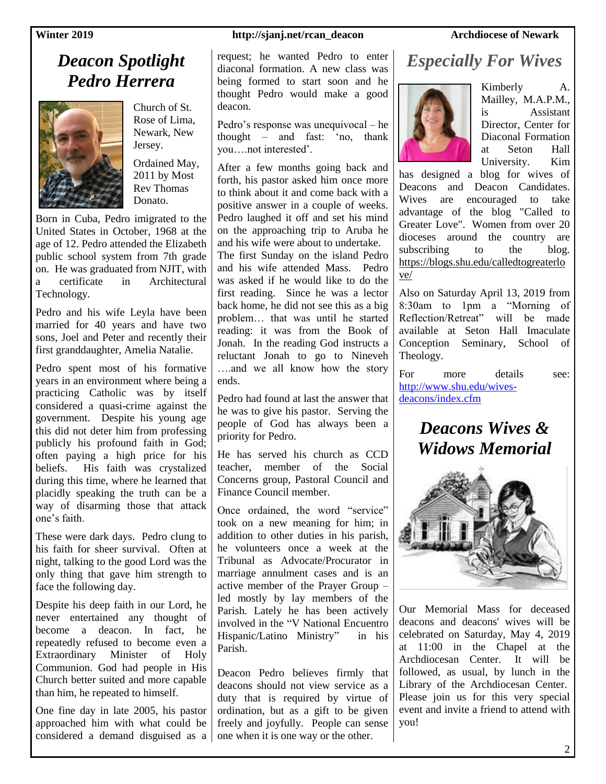### **Winter 2019 http://sjanj.net/rcan\_deacon Archdiocese of Newark**

## *Deacon Spotlight Pedro Herrera*



Church of St. Rose of Lima, Newark, New Jersey.

Ordained May, 2011 by Most Rev Thomas Donato.

Born in Cuba, Pedro imigrated to the United States in October, 1968 at the age of 12. Pedro attended the Elizabeth public school system from 7th grade on. He was graduated from NJIT, with a certificate in Architectural Technology.

Pedro and his wife Leyla have been married for 40 years and have two sons, Joel and Peter and recently their first granddaughter, Amelia Natalie.

Pedro spent most of his formative years in an environment where being a practicing Catholic was by itself considered a quasi-crime against the government. Despite his young age this did not deter him from professing publicly his profound faith in God; often paying a high price for his beliefs. His faith was crystalized during this time, where he learned that placidly speaking the truth can be a way of disarming those that attack one's faith.

These were dark days. Pedro clung to his faith for sheer survival. Often at night, talking to the good Lord was the only thing that gave him strength to face the following day.

Despite his deep faith in our Lord, he never entertained any thought of become a deacon. In fact, he repeatedly refused to become even a Extraordinary Minister of Holy Communion. God had people in His Church better suited and more capable than him, he repeated to himself.

One fine day in late 2005, his pastor approached him with what could be considered a demand disguised as a

## request; he wanted Pedro to enter diaconal formation. A new class was being formed to start soon and he

thought Pedro would make a good

deacon.

Pedro's response was unequivocal – he thought – and fast: 'no, thank you….not interested'.

After a few months going back and forth, his pastor asked him once more to think about it and come back with a positive answer in a couple of weeks. Pedro laughed it off and set his mind on the approaching trip to Aruba he and his wife were about to undertake.

The first Sunday on the island Pedro and his wife attended Mass. Pedro was asked if he would like to do the first reading. Since he was a lector back home, he did not see this as a big problem… that was until he started reading: it was from the Book of Jonah. In the reading God instructs a reluctant Jonah to go to Nineveh ….and we all know how the story ends.

Pedro had found at last the answer that he was to give his pastor. Serving the people of God has always been a priority for Pedro.

He has served his church as CCD teacher, member of the Social Concerns group, Pastoral Council and Finance Council member.

Once ordained, the word "service" took on a new meaning for him; in addition to other duties in his parish, he volunteers once a week at the Tribunal as Advocate/Procurator in marriage annulment cases and is an active member of the Prayer Group – led mostly by lay members of the Parish. Lately he has been actively involved in the "V National Encuentro Hispanic/Latino Ministry" in his Parish.

Deacon Pedro believes firmly that deacons should not view service as a duty that is required by virtue of ordination, but as a gift to be given freely and joyfully. People can sense one when it is one way or the other.

# *Especially For Wives*



Kimberly A. Mailley, M.A.P.M., is Assistant Director, Center for Diaconal Formation at Seton Hall University. Kim

has designed a blog for wives of Deacons and Deacon Candidates. Wives are encouraged to take advantage of the blog "Called to Greater Love". Women from over 20 dioceses around the country are subscribing to the blog. [https://blogs.shu.edu/calledtogreaterlo](https://blogs.shu.edu/calledtogreaterlove/) [ve/](https://blogs.shu.edu/calledtogreaterlove/)

Also on Saturday April 13, 2019 from 8:30am to 1pm a "Morning of Reflection/Retreat" will be made available at Seton Hall Imaculate Conception Seminary, School of Theology.

For more details see: [http://www.shu.edu/wives](http://www.shu.edu/wives-deacons/index.cfm)[deacons/index.cfm](http://www.shu.edu/wives-deacons/index.cfm)

## *Deacons Wives & Widows Memorial*



Our Memorial Mass for deceased deacons and deacons' wives will be celebrated on Saturday, May 4, 2019 at 11:00 in the Chapel at the Archdiocesan Center. It will be followed, as usual, by lunch in the Library of the Archdiocesan Center. Please join us for this very special event and invite a friend to attend with you!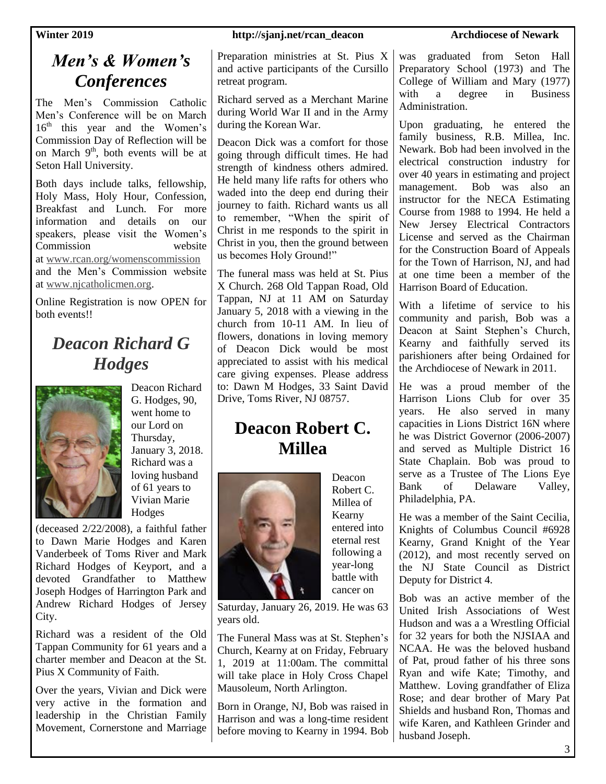## *Men's & Women's Conferences*

The Men's Commission Catholic Men's Conference will be on March  $16<sup>th</sup>$  this year and the Women's Commission Day of Reflection will be on March  $9<sup>th</sup>$ , both events will be at Seton Hall University.

Both days include talks, fellowship, Holy Mass, Holy Hour, Confession, Breakfast and Lunch. For more information and details on our speakers, please visit the Women's Commission website at [www.rcan.org/womenscommission](http://email-mg.flocknote.com/c/eJxNUtmSqjAU_Bp9k8pGSB58EBRmxHFfRl-sAEGQIAqIy9dfYO5UTSrVWaq70yd1gr4BMTJIN-4jADlAwEAYQwg1qJkmNS0OLTRCg5GJQIeAUGV-cslKqflZ2o36MAgQDUOIhCEQN6jPmM6ZNDAJiM4Co6v6UVleiw4edJBdz4tIAdEKEUoVX5JCu-a1mV_G2UXL7qXKsqRxbrjYvueqg4eNvoP0xkBvLGrIEdDygmoXWbbn8qKdi5Zkhw0OAYDz1IaEbx5guQgnRE3RUm2dheutqLc_Lcj5sHfPn6S87lfDnbuBajpmz4VzuhmuP3smERjLw2g9XbwmPLHkK0rZ3K8-wNb9ui0ng0M0294nR857qXST-YEEIk5XRu-tF2xev1vMe_7UOU79ao2eR5G-86zq3YbZaPDlHNUxPjt6E5z6bVozwupZLKVaVv7nfIVMfRmPyJu6Y0WKeFBd5GSQmRZ2TseV7T1Ieb7uhotW-gu1VdTu7TjxiJpFp2S_ImBy3Jhq7lhj61lWH7fwrnbFOHqMAc0xit2hE2fGbl08_nrRQJSi_neA6gvDArBdWtC572FfBlQXjEjBAw_qgAWUMcqZx0FLYiQIuTRCyUNKgAg9gnXxZ7SkH9MfAcWUEYoZQQgwbhDC6xDF_xQz9zuzN9_f1tjcRXh9v9n6eyJw2tRsvjwaDMUBxhVNrwv5sdn_1pDLQuaVDJo6unlfBr5Ir6-6gevm8kVRNq3zDxu947c) and the Men's Commission website at [www.njcatholicmen.org.](http://email-mg.flocknote.com/c/eJxdUl1zqjAQ_TX6dpl8EeDBBwFBUVsRrWNfOoGEggahJH60v_4CvZ3p3Ezm7Gbn7Jnd7PKJBTGyyLicIAAdgICFMIYQGtBwXep6DvTQDE1nLgIjAnJZZ-dLrYWR1dW4mFiMW9xhlolNgoRJHItjnjKHQ0AQy9FYTgqtGzXC0xEKunthFSCGYrmQ5eWsjKbtxDJd1hejvmpZ1-deuefi4NrKEfb7_BEyewGzl-igRcBoFTUuQg9vfTFOaiAFeY8-AHBTBZA4-zvYxvmKyCe0lS9hvEwTmh7fY3J6PS5PC6KbY-IflnsonyL7EW_eaFm71Z8m3CwXfnBMgma9zun1vCO6cKsd9GT9mXj0yavcr0-5xDN3nfDGC5HGxYr764rG0_kuuDmmE10_otcVW1Qr_KyYtUdx7E2H6n4A0Wxw3QLLh9oKub1li02CXHNbzsgXXUaSqHJ6u4jVtHY9HL6_JUF6J_rUHPz4f6li8IPynBL5XLyfjwkBq7e9KzehF3kPfZt_5Fd5UFFxjwBtMSqXfljW1mGn7r-1KGeadf8OUBewPAAHM4DpZCnOBKcms4noppxCE9ic2jZ17NQBA8kmPHeElQsnpwSwPCXYZL_OQPoW_U6gmNqEYpsgBBxgEZN0Rah_VbTKXYXzaBgzCHl9hUc9-wjVS3uUtZz1cVfg5LxdvNYF42D-An76aIUS7U3wvpdxOxE8Y1Xz2S1xt2AZU7pfn7_gx-Ib)

Online Registration is now OPEN for both events!!

## *Deacon Richard G Hodges*



Deacon Richard G. Hodges, 90, went home to our Lord on Thursday, January 3, 2018. Richard was a loving husband of 61 years to Vivian Marie Hodges

(deceased 2/22/2008), a faithful father to Dawn Marie Hodges and Karen Vanderbeek of Toms River and Mark Richard Hodges of Keyport, and a devoted Grandfather to Matthew Joseph Hodges of Harrington Park and Andrew Richard Hodges of Jersey City.

Richard was a resident of the Old Tappan Community for 61 years and a charter member and Deacon at the St. Pius X Community of Faith.

Over the years, Vivian and Dick were very active in the formation and leadership in the Christian Family Movement, Cornerstone and Marriage

### **Winter 2019 http://sjanj.net/rcan\_deacon Archdiocese of Newark**

Preparation ministries at St. Pius X and active participants of the Cursillo retreat program.

Richard served as a Merchant Marine during World War II and in the Army during the Korean War.

Deacon Dick was a comfort for those going through difficult times. He had strength of kindness others admired. He held many life rafts for others who waded into the deep end during their journey to faith. Richard wants us all to remember, "When the spirit of Christ in me responds to the spirit in Christ in you, then the ground between us becomes Holy Ground!"

The funeral mass was held at St. Pius X Church. 268 Old Tappan Road, Old Tappan, NJ at 11 AM on Saturday January 5, 2018 with a viewing in the church from 10-11 AM. In lieu of flowers, donations in loving memory of Deacon Dick would be most appreciated to assist with his medical care giving expenses. Please address to: Dawn M Hodges, 33 Saint David Drive, Toms River, NJ 08757.

## **Deacon Robert C. Millea**



Deacon Robert C. Millea of Kearny entered into eternal rest following a year-long battle with cancer on

Saturday, January 26, 2019. He was 63 years old.

The Funeral Mass was at St. Stephen's Church, Kearny at on Friday, February 1, 2019 at 11:00am. The committal will take place in Holy Cross Chapel Mausoleum, North Arlington.

Born in Orange, NJ, Bob was raised in Harrison and was a long-time resident before moving to Kearny in 1994. Bob was graduated from Seton Hall Preparatory School (1973) and The College of William and Mary (1977) with a degree in Business Administration.

Upon graduating, he entered the family business, R.B. Millea, Inc. Newark. Bob had been involved in the electrical construction industry for over 40 years in estimating and project management. Bob was also an instructor for the NECA Estimating Course from 1988 to 1994. He held a New Jersey Electrical Contractors License and served as the Chairman for the Construction Board of Appeals for the Town of Harrison, NJ, and had at one time been a member of the Harrison Board of Education.

With a lifetime of service to his community and parish, Bob was a Deacon at Saint Stephen's Church, Kearny and faithfully served its parishioners after being Ordained for the Archdiocese of Newark in 2011.

He was a proud member of the Harrison Lions Club for over 35 years. He also served in many capacities in Lions District 16N where he was District Governor (2006-2007) and served as Multiple District 16 State Chaplain. Bob was proud to serve as a Trustee of The Lions Eye Bank of Delaware Valley, Philadelphia, PA.

He was a member of the Saint Cecilia, Knights of Columbus Council #6928 Kearny, Grand Knight of the Year (2012), and most recently served on the NJ State Council as District Deputy for District 4.

Bob was an active member of the United Irish Associations of West Hudson and was a a Wrestling Official for 32 years for both the NJSIAA and NCAA. He was the beloved husband of Pat, proud father of his three sons Ryan and wife Kate; Timothy, and Matthew. Loving grandfather of Eliza Rose; and dear brother of Mary Pat Shields and husband Ron, Thomas and wife Karen, and Kathleen Grinder and husband Joseph.

3